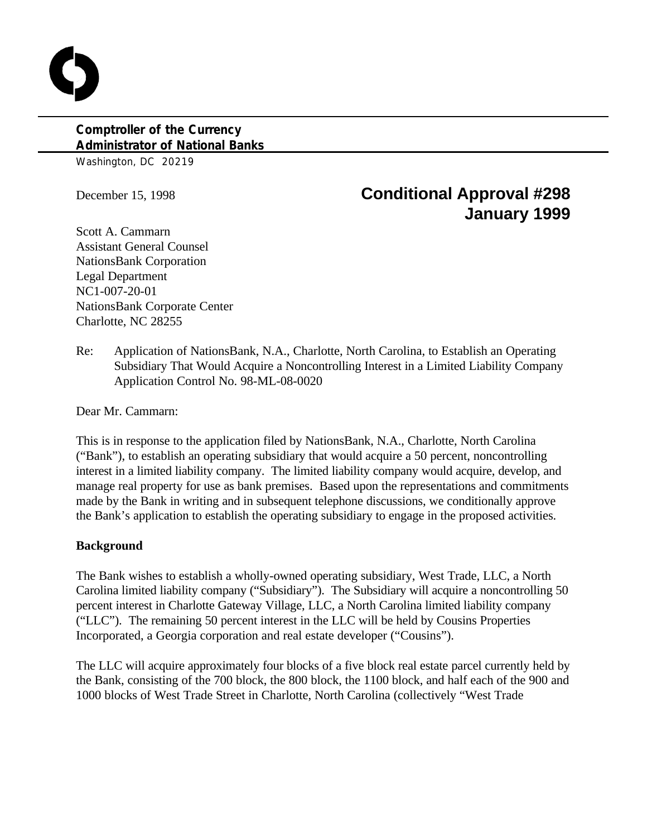## **Comptroller of the Currency Administrator of National Banks**

Washington, DC 20219

# December 15, 1998 **Conditional Approval #298 January 1999**

Scott A. Cammarn Assistant General Counsel NationsBank Corporation Legal Department NC1-007-20-01 NationsBank Corporate Center Charlotte, NC 28255

Re: Application of NationsBank, N.A., Charlotte, North Carolina, to Establish an Operating Subsidiary That Would Acquire a Noncontrolling Interest in a Limited Liability Company Application Control No. 98-ML-08-0020

Dear Mr. Cammarn:

This is in response to the application filed by NationsBank, N.A., Charlotte, North Carolina ("Bank"), to establish an operating subsidiary that would acquire a 50 percent, noncontrolling interest in a limited liability company. The limited liability company would acquire, develop, and manage real property for use as bank premises. Based upon the representations and commitments made by the Bank in writing and in subsequent telephone discussions, we conditionally approve the Bank's application to establish the operating subsidiary to engage in the proposed activities.

#### **Background**

The Bank wishes to establish a wholly-owned operating subsidiary, West Trade, LLC, a North Carolina limited liability company ("Subsidiary"). The Subsidiary will acquire a noncontrolling 50 percent interest in Charlotte Gateway Village, LLC, a North Carolina limited liability company ("LLC"). The remaining 50 percent interest in the LLC will be held by Cousins Properties Incorporated, a Georgia corporation and real estate developer ("Cousins").

The LLC will acquire approximately four blocks of a five block real estate parcel currently held by the Bank, consisting of the 700 block, the 800 block, the 1100 block, and half each of the 900 and 1000 blocks of West Trade Street in Charlotte, North Carolina (collectively "West Trade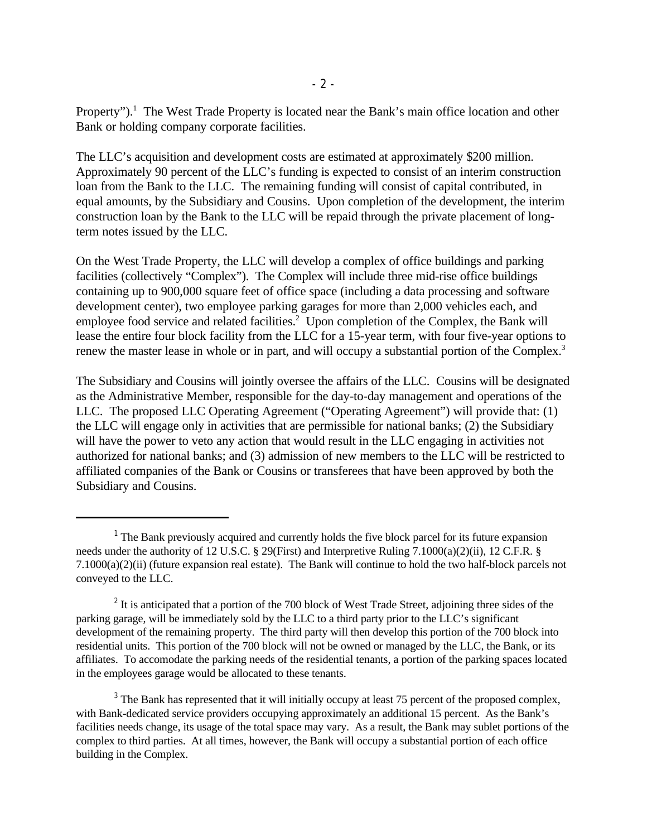Property").<sup>1</sup> The West Trade Property is located near the Bank's main office location and other Bank or holding company corporate facilities.

The LLC's acquisition and development costs are estimated at approximately \$200 million. Approximately 90 percent of the LLC's funding is expected to consist of an interim construction loan from the Bank to the LLC. The remaining funding will consist of capital contributed, in equal amounts, by the Subsidiary and Cousins. Upon completion of the development, the interim construction loan by the Bank to the LLC will be repaid through the private placement of longterm notes issued by the LLC.

On the West Trade Property, the LLC will develop a complex of office buildings and parking facilities (collectively "Complex"). The Complex will include three mid-rise office buildings containing up to 900,000 square feet of office space (including a data processing and software development center), two employee parking garages for more than 2,000 vehicles each, and employee food service and related facilities.<sup>2</sup> Upon completion of the Complex, the Bank will lease the entire four block facility from the LLC for a 15-year term, with four five-year options to renew the master lease in whole or in part, and will occupy a substantial portion of the Complex.<sup>3</sup>

The Subsidiary and Cousins will jointly oversee the affairs of the LLC. Cousins will be designated as the Administrative Member, responsible for the day-to-day management and operations of the LLC. The proposed LLC Operating Agreement ("Operating Agreement") will provide that: (1) the LLC will engage only in activities that are permissible for national banks; (2) the Subsidiary will have the power to veto any action that would result in the LLC engaging in activities not authorized for national banks; and (3) admission of new members to the LLC will be restricted to affiliated companies of the Bank or Cousins or transferees that have been approved by both the Subsidiary and Cousins.

<sup>3</sup> The Bank has represented that it will initially occupy at least 75 percent of the proposed complex, with Bank-dedicated service providers occupying approximately an additional 15 percent. As the Bank's facilities needs change, its usage of the total space may vary. As a result, the Bank may sublet portions of the complex to third parties. At all times, however, the Bank will occupy a substantial portion of each office building in the Complex.

 $<sup>1</sup>$  The Bank previously acquired and currently holds the five block parcel for its future expansion</sup> needs under the authority of 12 U.S.C. § 29(First) and Interpretive Ruling 7.1000(a)(2)(ii), 12 C.F.R. § 7.1000(a)(2)(ii) (future expansion real estate). The Bank will continue to hold the two half-block parcels not conveyed to the LLC.

 $2$  It is anticipated that a portion of the 700 block of West Trade Street, adjoining three sides of the parking garage, will be immediately sold by the LLC to a third party prior to the LLC's significant development of the remaining property. The third party will then develop this portion of the 700 block into residential units. This portion of the 700 block will not be owned or managed by the LLC, the Bank, or its affiliates. To accomodate the parking needs of the residential tenants, a portion of the parking spaces located in the employees garage would be allocated to these tenants.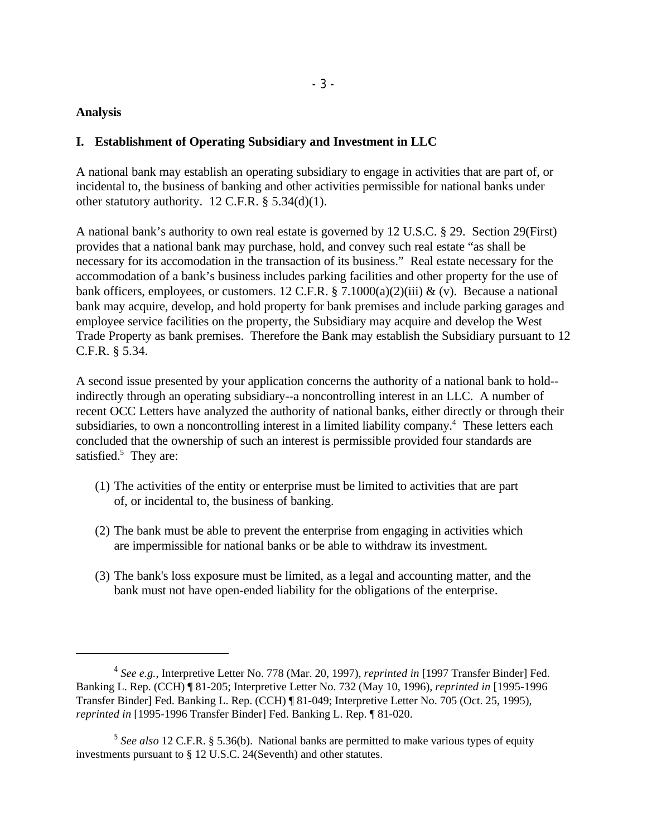#### **Analysis**

#### **I. Establishment of Operating Subsidiary and Investment in LLC**

A national bank may establish an operating subsidiary to engage in activities that are part of, or incidental to, the business of banking and other activities permissible for national banks under other statutory authority. 12 C.F.R.  $\S$  5.34(d)(1).

A national bank's authority to own real estate is governed by 12 U.S.C. § 29. Section 29(First) provides that a national bank may purchase, hold, and convey such real estate "as shall be necessary for its accomodation in the transaction of its business." Real estate necessary for the accommodation of a bank's business includes parking facilities and other property for the use of bank officers, employees, or customers. 12 C.F.R. § 7.1000(a)(2)(iii) & (v). Because a national bank may acquire, develop, and hold property for bank premises and include parking garages and employee service facilities on the property, the Subsidiary may acquire and develop the West Trade Property as bank premises. Therefore the Bank may establish the Subsidiary pursuant to 12 C.F.R. § 5.34.

A second issue presented by your application concerns the authority of a national bank to hold- indirectly through an operating subsidiary--a noncontrolling interest in an LLC. A number of recent OCC Letters have analyzed the authority of national banks, either directly or through their subsidiaries, to own a noncontrolling interest in a limited liability company.<sup>4</sup> These letters each concluded that the ownership of such an interest is permissible provided four standards are satisfied. $5$  They are:

- (1) The activities of the entity or enterprise must be limited to activities that are part of, or incidental to, the business of banking.
- (2) The bank must be able to prevent the enterprise from engaging in activities which are impermissible for national banks or be able to withdraw its investment.
- (3) The bank's loss exposure must be limited, as a legal and accounting matter, and the bank must not have open-ended liability for the obligations of the enterprise.

*See e.g.*, Interpretive Letter No. 778 (Mar. 20, 1997), *reprinted in* [1997 Transfer Binder] Fed. <sup>4</sup> Banking L. Rep. (CCH) ¶ 81-205; Interpretive Letter No. 732 (May 10, 1996), *reprinted in* [1995-1996 Transfer Binder] Fed. Banking L. Rep. (CCH) ¶ 81-049; Interpretive Letter No. 705 (Oct. 25, 1995), *reprinted in* [1995-1996 Transfer Binder] Fed. Banking L. Rep. ¶ 81-020.

<sup>&</sup>lt;sup>5</sup> See also 12 C.F.R. § 5.36(b). National banks are permitted to make various types of equity investments pursuant to § 12 U.S.C. 24(Seventh) and other statutes.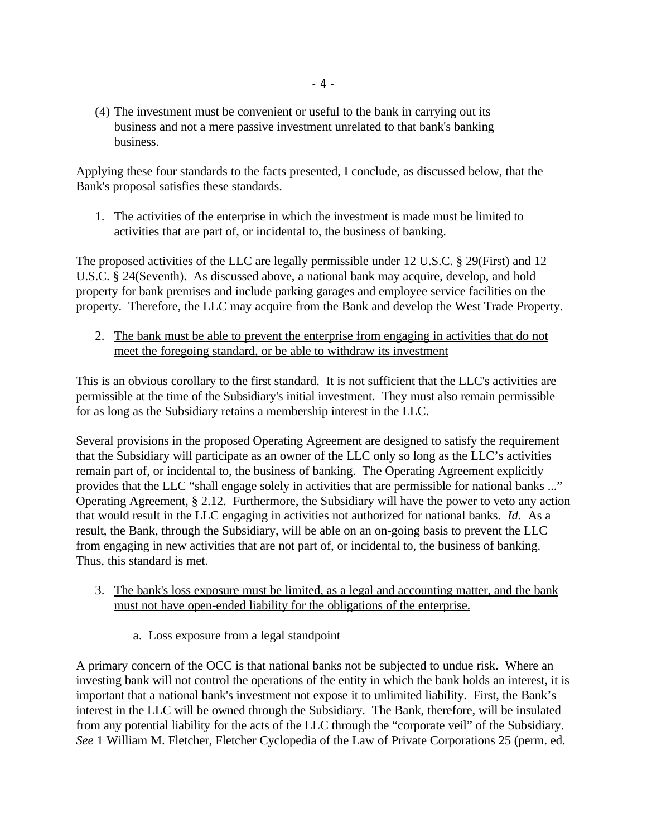(4) The investment must be convenient or useful to the bank in carrying out its business and not a mere passive investment unrelated to that bank's banking business.

Applying these four standards to the facts presented, I conclude, as discussed below, that the Bank's proposal satisfies these standards.

1. The activities of the enterprise in which the investment is made must be limited to activities that are part of, or incidental to, the business of banking.

The proposed activities of the LLC are legally permissible under 12 U.S.C. § 29(First) and 12 U.S.C. § 24(Seventh). As discussed above, a national bank may acquire, develop, and hold property for bank premises and include parking garages and employee service facilities on the property. Therefore, the LLC may acquire from the Bank and develop the West Trade Property.

2. The bank must be able to prevent the enterprise from engaging in activities that do not meet the foregoing standard, or be able to withdraw its investment

This is an obvious corollary to the first standard. It is not sufficient that the LLC's activities are permissible at the time of the Subsidiary's initial investment. They must also remain permissible for as long as the Subsidiary retains a membership interest in the LLC.

Several provisions in the proposed Operating Agreement are designed to satisfy the requirement that the Subsidiary will participate as an owner of the LLC only so long as the LLC's activities remain part of, or incidental to, the business of banking. The Operating Agreement explicitly provides that the LLC "shall engage solely in activities that are permissible for national banks ..." Operating Agreement, § 2.12. Furthermore, the Subsidiary will have the power to veto any action that would result in the LLC engaging in activities not authorized for national banks. *Id.* As a result, the Bank, through the Subsidiary, will be able on an on-going basis to prevent the LLC from engaging in new activities that are not part of, or incidental to, the business of banking. Thus, this standard is met.

- 3. The bank's loss exposure must be limited, as a legal and accounting matter, and the bank must not have open-ended liability for the obligations of the enterprise.
	- a. Loss exposure from a legal standpoint

A primary concern of the OCC is that national banks not be subjected to undue risk. Where an investing bank will not control the operations of the entity in which the bank holds an interest, it is important that a national bank's investment not expose it to unlimited liability. First, the Bank's interest in the LLC will be owned through the Subsidiary. The Bank, therefore, will be insulated from any potential liability for the acts of the LLC through the "corporate veil" of the Subsidiary. *See* 1 William M. Fletcher, Fletcher Cyclopedia of the Law of Private Corporations 25 (perm. ed.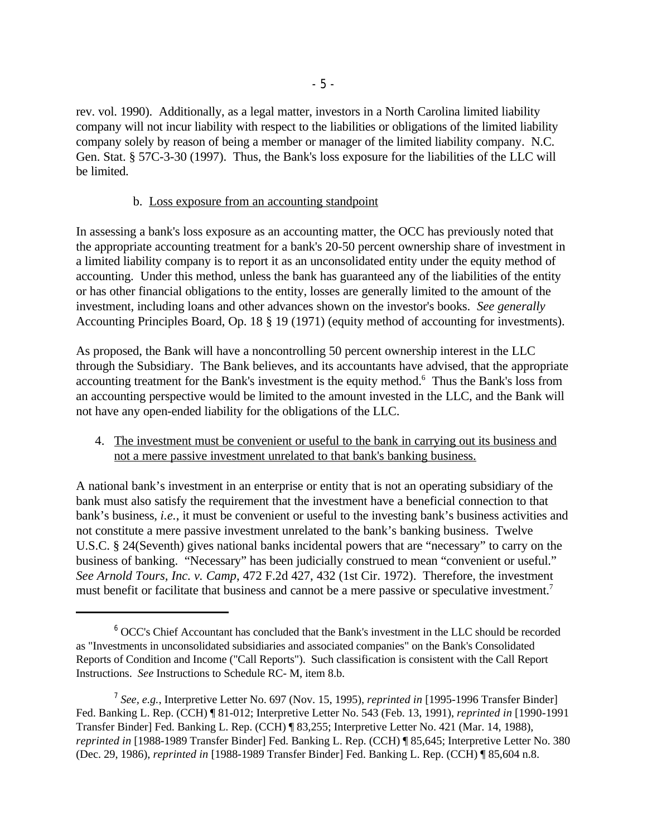rev. vol. 1990). Additionally, as a legal matter, investors in a North Carolina limited liability company will not incur liability with respect to the liabilities or obligations of the limited liability company solely by reason of being a member or manager of the limited liability company. N.C. Gen. Stat. § 57C-3-30 (1997). Thus, the Bank's loss exposure for the liabilities of the LLC will be limited.

#### b. Loss exposure from an accounting standpoint

In assessing a bank's loss exposure as an accounting matter, the OCC has previously noted that the appropriate accounting treatment for a bank's 20-50 percent ownership share of investment in a limited liability company is to report it as an unconsolidated entity under the equity method of accounting. Under this method, unless the bank has guaranteed any of the liabilities of the entity or has other financial obligations to the entity, losses are generally limited to the amount of the investment, including loans and other advances shown on the investor's books. *See generally* Accounting Principles Board, Op. 18 § 19 (1971) (equity method of accounting for investments).

As proposed, the Bank will have a noncontrolling 50 percent ownership interest in the LLC through the Subsidiary. The Bank believes, and its accountants have advised, that the appropriate accounting treatment for the Bank's investment is the equity method.<sup>6</sup> Thus the Bank's loss from an accounting perspective would be limited to the amount invested in the LLC, and the Bank will not have any open-ended liability for the obligations of the LLC.

4. The investment must be convenient or useful to the bank in carrying out its business and not a mere passive investment unrelated to that bank's banking business.

A national bank's investment in an enterprise or entity that is not an operating subsidiary of the bank must also satisfy the requirement that the investment have a beneficial connection to that bank's business, *i.e.*, it must be convenient or useful to the investing bank's business activities and not constitute a mere passive investment unrelated to the bank's banking business. Twelve U.S.C. § 24(Seventh) gives national banks incidental powers that are "necessary" to carry on the business of banking. "Necessary" has been judicially construed to mean "convenient or useful." *See Arnold Tours, Inc. v. Camp*, 472 F.2d 427, 432 (1st Cir. 1972). Therefore, the investment must benefit or facilitate that business and cannot be a mere passive or speculative investment.<sup>7</sup>

 $6$  OCC's Chief Accountant has concluded that the Bank's investment in the LLC should be recorded as "Investments in unconsolidated subsidiaries and associated companies" on the Bank's Consolidated Reports of Condition and Income ("Call Reports"). Such classification is consistent with the Call Report Instructions. *See* Instructions to Schedule RC- M, item 8.b.

*See, e.g.*, Interpretive Letter No. 697 (Nov. 15, 1995), *reprinted in* [1995-1996 Transfer Binder] <sup>7</sup> Fed. Banking L. Rep. (CCH) ¶ 81-012; Interpretive Letter No. 543 (Feb. 13, 1991), *reprinted in* [1990-1991 Transfer Binder] Fed. Banking L. Rep. (CCH) ¶ 83,255; Interpretive Letter No. 421 (Mar. 14, 1988), *reprinted in* [1988-1989 Transfer Binder] Fed. Banking L. Rep. (CCH) ¶ 85,645; Interpretive Letter No. 380 (Dec. 29, 1986), *reprinted in* [1988-1989 Transfer Binder] Fed. Banking L. Rep. (CCH) ¶ 85,604 n.8.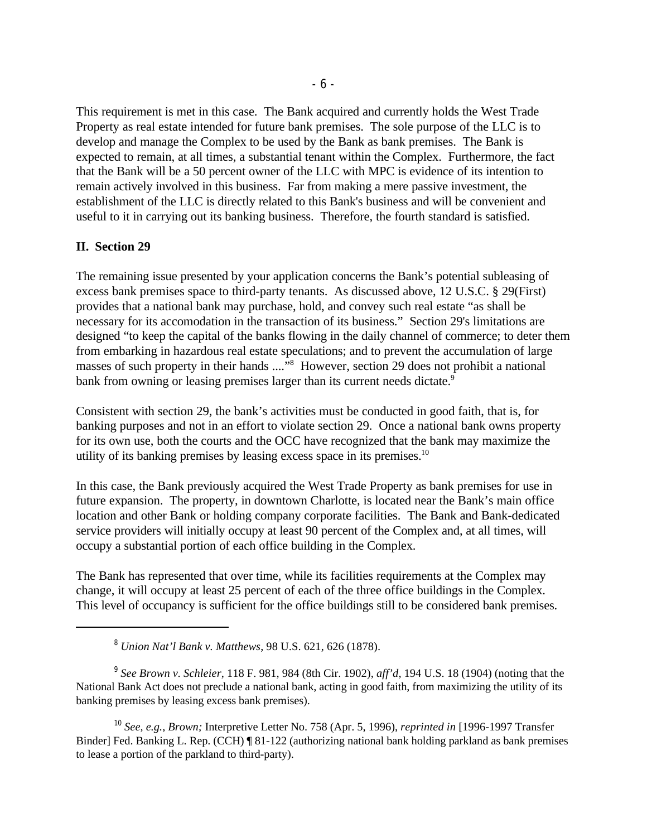This requirement is met in this case. The Bank acquired and currently holds the West Trade Property as real estate intended for future bank premises. The sole purpose of the LLC is to develop and manage the Complex to be used by the Bank as bank premises. The Bank is expected to remain, at all times, a substantial tenant within the Complex. Furthermore, the fact that the Bank will be a 50 percent owner of the LLC with MPC is evidence of its intention to remain actively involved in this business. Far from making a mere passive investment, the establishment of the LLC is directly related to this Bank's business and will be convenient and useful to it in carrying out its banking business. Therefore, the fourth standard is satisfied.

### **II. Section 29**

The remaining issue presented by your application concerns the Bank's potential subleasing of excess bank premises space to third-party tenants. As discussed above, 12 U.S.C. § 29(First) provides that a national bank may purchase, hold, and convey such real estate "as shall be necessary for its accomodation in the transaction of its business." Section 29's limitations are designed "to keep the capital of the banks flowing in the daily channel of commerce; to deter them from embarking in hazardous real estate speculations; and to prevent the accumulation of large masses of such property in their hands ...."<sup>8</sup> However, section 29 does not prohibit a national bank from owning or leasing premises larger than its current needs dictate.<sup>9</sup>

Consistent with section 29, the bank's activities must be conducted in good faith, that is, for banking purposes and not in an effort to violate section 29. Once a national bank owns property for its own use, both the courts and the OCC have recognized that the bank may maximize the utility of its banking premises by leasing excess space in its premises.<sup>10</sup>

In this case, the Bank previously acquired the West Trade Property as bank premises for use in future expansion. The property, in downtown Charlotte, is located near the Bank's main office location and other Bank or holding company corporate facilities. The Bank and Bank-dedicated service providers will initially occupy at least 90 percent of the Complex and, at all times, will occupy a substantial portion of each office building in the Complex.

The Bank has represented that over time, while its facilities requirements at the Complex may change, it will occupy at least 25 percent of each of the three office buildings in the Complex. This level of occupancy is sufficient for the office buildings still to be considered bank premises.

*Union Nat'l Bank v. Matthews*, 98 U.S. 621, 626 (1878). <sup>8</sup>

<sup>&</sup>lt;sup>9</sup> See Brown v. Schleier, 118 F. 981, 984 (8th Cir. 1902), *aff'd*, 194 U.S. 18 (1904) (noting that the National Bank Act does not preclude a national bank, acting in good faith, from maximizing the utility of its banking premises by leasing excess bank premises).

<sup>&</sup>lt;sup>10</sup> See, e.g., *Brown*; Interpretive Letter No. 758 (Apr. 5, 1996), *reprinted in* [1996-1997 Transfer Binder] Fed. Banking L. Rep. (CCH) ¶ 81-122 (authorizing national bank holding parkland as bank premises to lease a portion of the parkland to third-party).